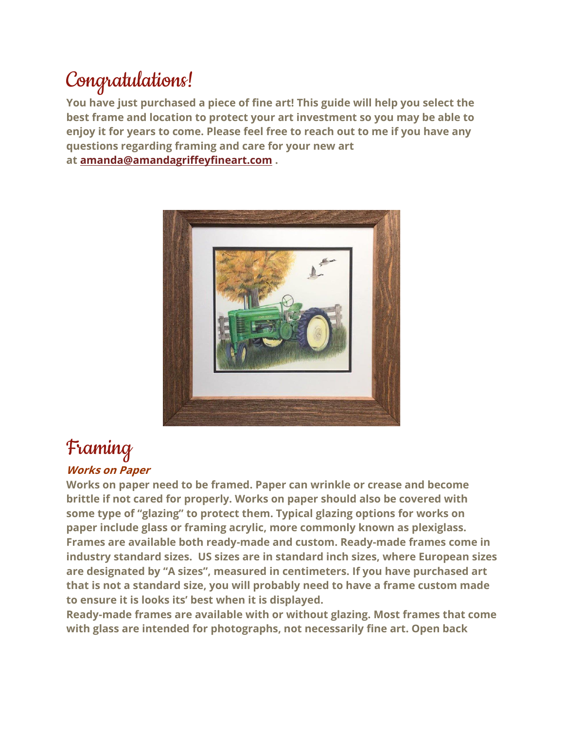## Congratulations!

**You have just purchased a piece of fine art! This guide will help you select the best frame and location to protect your art investment so you may be able to enjoy it for years to come. Please feel free to reach out to me if you have any questions regarding framing and care for your new art at [amanda@amandagriffeyfineart.com](mailto:amanda@amandagriffeyfineart.com) .**



### Framing **Works on Paper**

**Works on paper need to be framed. Paper can wrinkle or crease and become brittle if not cared for properly. Works on paper should also be covered with some type of "glazing" to protect them. Typical glazing options for works on paper include glass or framing acrylic, more commonly known as plexiglass. Frames are available both ready-made and custom. Ready-made frames come in industry standard sizes. US sizes are in standard inch sizes, where European sizes are designated by "A sizes", measured in centimeters. If you have purchased art that is not a standard size, you will probably need to have a frame custom made to ensure it is looks its' best when it is displayed.**

**Ready-made frames are available with or without glazing. Most frames that come with glass are intended for photographs, not necessarily fine art. Open back**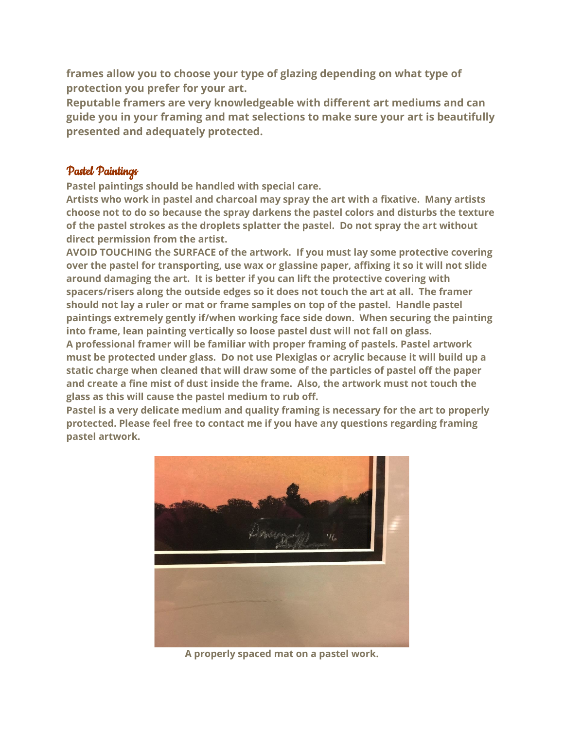**frames allow you to choose your type of glazing depending on what type of protection you prefer for your art.**

**Reputable framers are very knowledgeable with different art mediums and can guide you in your framing and mat selections to make sure your art is beautifully presented and adequately protected.**

#### Pastel Paintings

**Pastel paintings should be handled with special care.**

**Artists who work in pastel and charcoal may spray the art with a fixative. Many artists choose not to do so because the spray darkens the pastel colors and disturbs the texture of the pastel strokes as the droplets splatter the pastel. Do not spray the art without direct permission from the artist.**

**AVOID TOUCHING the SURFACE of the artwork. If you must lay some protective covering over the pastel for transporting, use wax or glassine paper, affixing it so it will not slide around damaging the art. It is better if you can lift the protective covering with spacers/risers along the outside edges so it does not touch the art at all. The framer should not lay a ruler or mat or frame samples on top of the pastel. Handle pastel paintings extremely gently if/when working face side down. When securing the painting into frame, lean painting vertically so loose pastel dust will not fall on glass.**

**A professional framer will be familiar with proper framing of pastels. Pastel artwork must be protected under glass. Do not use Plexiglas or acrylic because it will build up a static charge when cleaned that will draw some of the particles of pastel off the paper and create a fine mist of dust inside the frame. Also, the artwork must not touch the glass as this will cause the pastel medium to rub off.**

**Pastel is a very delicate medium and quality framing is necessary for the art to properly protected. Please feel free to contact me if you have any questions regarding framing pastel artwork.**



**A properly spaced mat on a pastel work.**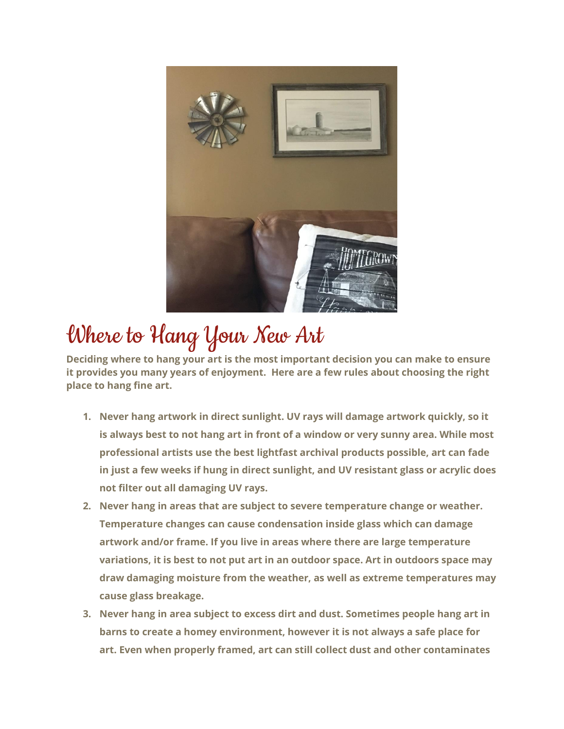

# Where to Hang Your New Art

**Deciding where to hang your art is the most important decision you can make to ensure it provides you many years of enjoyment. Here are a few rules about choosing the right place to hang fine art.**

- **1. Never hang artwork in direct sunlight. UV rays will damage artwork quickly, so it is always best to not hang art in front of a window or very sunny area. While most professional artists use the best lightfast archival products possible, art can fade in just a few weeks if hung in direct sunlight, and UV resistant glass or acrylic does not filter out all damaging UV rays.**
- **2. Never hang in areas that are subject to severe temperature change or weather. Temperature changes can cause condensation inside glass which can damage artwork and/or frame. If you live in areas where there are large temperature variations, it is best to not put art in an outdoor space. Art in outdoors space may draw damaging moisture from the weather, as well as extreme temperatures may cause glass breakage.**
- **3. Never hang in area subject to excess dirt and dust. Sometimes people hang art in barns to create a homey environment, however it is not always a safe place for art. Even when properly framed, art can still collect dust and other contaminates**